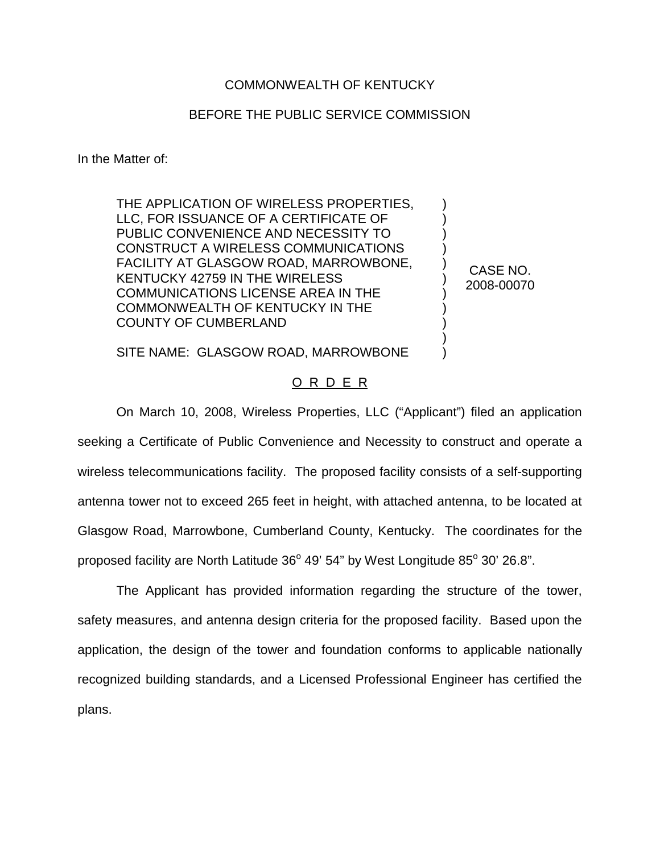## COMMONWEALTH OF KENTUCKY

## BEFORE THE PUBLIC SERVICE COMMISSION

In the Matter of:

THE APPLICATION OF WIRELESS PROPERTIES, LLC, FOR ISSUANCE OF A CERTIFICATE OF PUBLIC CONVENIENCE AND NECESSITY TO CONSTRUCT A WIRELESS COMMUNICATIONS FACILITY AT GLASGOW ROAD, MARROWBONE, KENTUCKY 42759 IN THE WIRELESS COMMUNICATIONS LICENSE AREA IN THE COMMONWEALTH OF KENTUCKY IN THE COUNTY OF CUMBERLAND

CASE NO. 2008-00070

) ) ) ) ) ) ) ) ) ) )

SITE NAME: GLASGOW ROAD, MARROWBONE

## O R D E R

On March 10, 2008, Wireless Properties, LLC ("Applicant") filed an application seeking a Certificate of Public Convenience and Necessity to construct and operate a wireless telecommunications facility. The proposed facility consists of a self-supporting antenna tower not to exceed 265 feet in height, with attached antenna, to be located at Glasgow Road, Marrowbone, Cumberland County, Kentucky. The coordinates for the proposed facility are North Latitude  $36^{\circ}$  49' 54" by West Longitude  $85^{\circ}$  30' 26.8".

The Applicant has provided information regarding the structure of the tower, safety measures, and antenna design criteria for the proposed facility. Based upon the application, the design of the tower and foundation conforms to applicable nationally recognized building standards, and a Licensed Professional Engineer has certified the plans.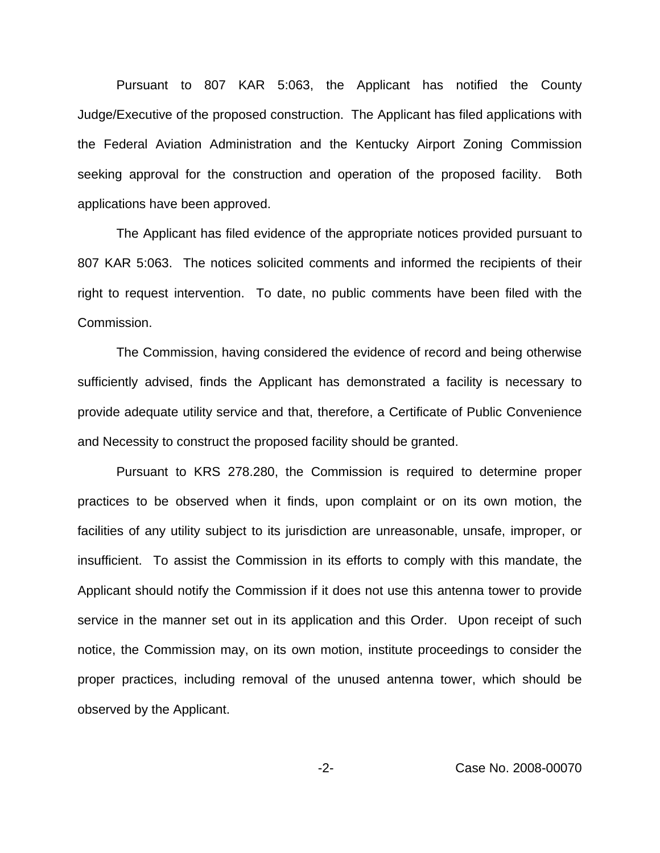Pursuant to 807 KAR 5:063, the Applicant has notified the County Judge/Executive of the proposed construction. The Applicant has filed applications with the Federal Aviation Administration and the Kentucky Airport Zoning Commission seeking approval for the construction and operation of the proposed facility. Both applications have been approved.

The Applicant has filed evidence of the appropriate notices provided pursuant to 807 KAR 5:063. The notices solicited comments and informed the recipients of their right to request intervention. To date, no public comments have been filed with the Commission.

The Commission, having considered the evidence of record and being otherwise sufficiently advised, finds the Applicant has demonstrated a facility is necessary to provide adequate utility service and that, therefore, a Certificate of Public Convenience and Necessity to construct the proposed facility should be granted.

Pursuant to KRS 278.280, the Commission is required to determine proper practices to be observed when it finds, upon complaint or on its own motion, the facilities of any utility subject to its jurisdiction are unreasonable, unsafe, improper, or insufficient. To assist the Commission in its efforts to comply with this mandate, the Applicant should notify the Commission if it does not use this antenna tower to provide service in the manner set out in its application and this Order. Upon receipt of such notice, the Commission may, on its own motion, institute proceedings to consider the proper practices, including removal of the unused antenna tower, which should be observed by the Applicant.

-2- Case No. 2008-00070